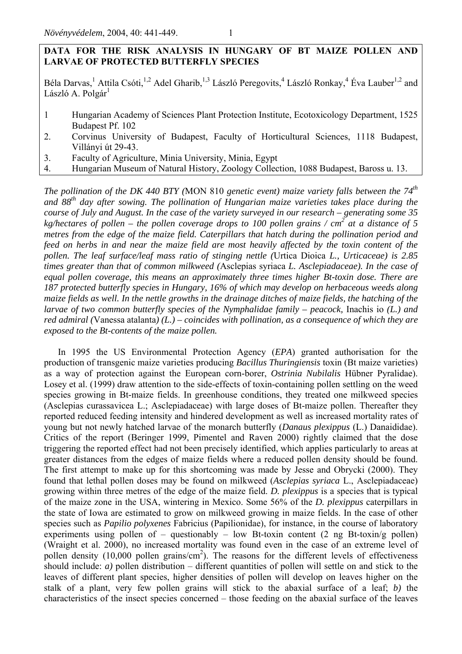# **DATA FOR THE RISK ANALYSIS IN HUNGARY OF BT MAIZE POLLEN AND LARVAE OF PROTECTED BUTTERFLY SPECIES**

Béla Darvas,<sup>1</sup> Attila Csóti,<sup>1,2</sup> Adel Gharib,<sup>1,3</sup> László Peregovits,<sup>4</sup> László Ronkay,<sup>4</sup> Éva Lauber<sup>1,2</sup> and László A. Polgár<sup>1</sup>

- 1 Hungarian Academy of Sciences Plant Protection Institute, Ecotoxicology Department, 1525 Budapest Pf. 102
- 2. Corvinus University of Budapest, Faculty of Horticultural Sciences, 1118 Budapest, Villányi út 29-43.
- 3. Faculty of Agriculture, Minia University, Minia, Egypt
- 4. Hungarian Museum of Natural History, Zoology Collection, 1088 Budapest, Baross u. 13.

*The pollination of the DK 440 BTY (*MON 810 *genetic event) maize variety falls between the 74th and 88th day after sowing. The pollination of Hungarian maize varieties takes place during the course of July and August. In the case of the variety surveyed in our research – generating some 35*  kg/hectares of pollen – the pollen coverage drops to 100 pollen grains / cm<sup>2</sup> at a distance of 5 *metres from the edge of the maize field. Caterpillars that hatch during the pollination period and feed on herbs in and near the maize field are most heavily affected by the toxin content of the pollen. The leaf surface/leaf mass ratio of stinging nettle (*Urtica Dioica *L., Urticaceae) is 2.85 times greater than that of common milkweed (*Asclepias syriaca *L. Asclepiadaceae). In the case of equal pollen coverage, this means an approximately three times higher Bt-toxin dose. There are 187 protected butterfly species in Hungary, 16% of which may develop on herbaceous weeds along maize fields as well. In the nettle growths in the drainage ditches of maize fields, the hatching of the larvae of two common butterfly species of the Nymphalidae family – peacock, Inachis io (L.) and red admiral (*Vanessa atalanta*) (L.) – coincides with pollination, as a consequence of which they are exposed to the Bt-contents of the maize pollen.* 

In 1995 the US Environmental Protection Agency (*EPA*) granted authorisation for the production of transgenic maize varieties producing *Bacillus Thuringiensis* toxin (Bt maize varieties) as a way of protection against the European corn-borer, *Ostrinia Nubilalis* Hübner Pyralidae). Losey et al. (1999) draw attention to the side-effects of toxin-containing pollen settling on the weed species growing in Bt-maize fields. In greenhouse conditions, they treated one milkweed species (Asclepias curassavicea L.; Asclepiadaceae) with large doses of Bt-maize pollen. Thereafter they reported reduced feeding intensity and hindered development as well as increased mortality rates of young but not newly hatched larvae of the monarch butterfly (*Danaus plexippus* (L.) Danaididae). Critics of the report (Beringer 1999, Pimentel and Raven 2000) rightly claimed that the dose triggering the reported effect had not been precisely identified, which applies particularly to areas at greater distances from the edges of maize fields where a reduced pollen density should be found. The first attempt to make up for this shortcoming was made by Jesse and Obrycki (2000). They found that lethal pollen doses may be found on milkweed (*Asclepias syriaca* L., Asclepiadaceae) growing within three metres of the edge of the maize field. *D. plexippus* is a species that is typical of the maize zone in the USA, wintering in Mexico. Some 56% of the *D. plexippus* caterpillars in the state of Iowa are estimated to grow on milkweed growing in maize fields. In the case of other species such as *Papilio polyxenes* Fabricius (Papilionidae), for instance, in the course of laboratory experiments using pollen of – questionably – low Bt-toxin content  $(2 \text{ ng } Bt$ -toxin/g pollen) (Wraight et al. 2000), no increased mortality was found even in the case of an extreme level of pollen density  $(10,000)$  pollen grains/cm<sup>2</sup>). The reasons for the different levels of effectiveness should include: *a)* pollen distribution – different quantities of pollen will settle on and stick to the leaves of different plant species, higher densities of pollen will develop on leaves higher on the stalk of a plant, very few pollen grains will stick to the abaxial surface of a leaf; *b)* the characteristics of the insect species concerned – those feeding on the abaxial surface of the leaves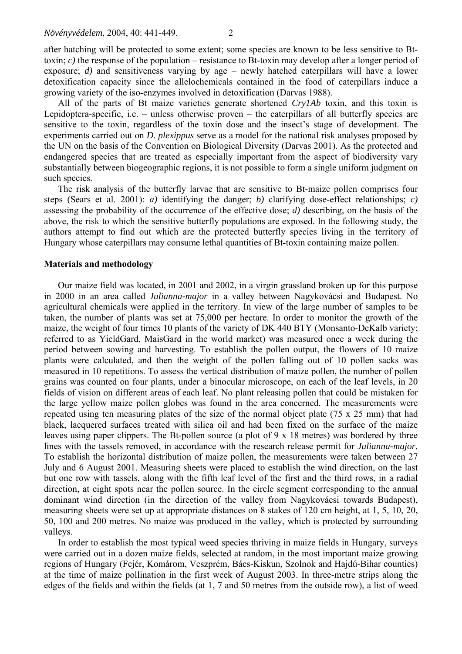after hatching will be protected to some extent; some species are known to be less sensitive to Bttoxin; *c)* the response of the population – resistance to Bt-toxin may develop after a longer period of exposure; *d)* and sensitiveness varying by age – newly hatched caterpillars will have a lower detoxification capacity since the allelochemicals contained in the food of caterpillars induce a growing variety of the iso-enzymes involved in detoxification (Darvas 1988).

All of the parts of Bt maize varieties generate shortened *Cry1Ab* toxin, and this toxin is Lepidoptera-specific, i.e. – unless otherwise proven – the caterpillars of all butterfly species are sensitive to the toxin, regardless of the toxin dose and the insect's stage of development. The experiments carried out on *D. plexippus* serve as a model for the national risk analyses proposed by the UN on the basis of the Convention on Biological Diversity (Darvas 2001). As the protected and endangered species that are treated as especially important from the aspect of biodiversity vary substantially between biogeographic regions, it is not possible to form a single uniform judgment on such species.

The risk analysis of the butterfly larvae that are sensitive to Bt-maize pollen comprises four steps (Sears et al. 2001): *a)* identifying the danger; *b)* clarifying dose-effect relationships; *c)*  assessing the probability of the occurrence of the effective dose; *d)* describing, on the basis of the above, the risk to which the sensitive butterfly populations are exposed. In the following study, the authors attempt to find out which are the protected butterfly species living in the territory of Hungary whose caterpillars may consume lethal quantities of Bt-toxin containing maize pollen.

#### **Materials and methodology**

Our maize field was located, in 2001 and 2002, in a virgin grassland broken up for this purpose in 2000 in an area called *Julianna-major* in a valley between Nagykovácsi and Budapest. No agricultural chemicals were applied in the territory. In view of the large number of samples to be taken, the number of plants was set at 75,000 per hectare. In order to monitor the growth of the maize, the weight of four times 10 plants of the variety of DK 440 BTY (Monsanto-DeKalb variety; referred to as YieldGard, MaisGard in the world market) was measured once a week during the period between sowing and harvesting. To establish the pollen output, the flowers of 10 maize plants were calculated, and then the weight of the pollen falling out of 10 pollen sacks was measured in 10 repetitions. To assess the vertical distribution of maize pollen, the number of pollen grains was counted on four plants, under a binocular microscope, on each of the leaf levels, in 20 fields of vision on different areas of each leaf. No plant releasing pollen that could be mistaken for the large yellow maize pollen globes was found in the area concerned. The measurements were repeated using ten measuring plates of the size of the normal object plate (75 x 25 mm) that had black, lacquered surfaces treated with silica oil and had been fixed on the surface of the maize leaves using paper clippers. The Bt-pollen source (a plot of 9 x 18 metres) was bordered by three lines with the tassels removed, in accordance with the research release permit for *Julianna-major*. To establish the horizontal distribution of maize pollen, the measurements were taken between 27 July and 6 August 2001. Measuring sheets were placed to establish the wind direction, on the last but one row with tassels, along with the fifth leaf level of the first and the third rows, in a radial direction, at eight spots near the pollen source. In the circle segment corresponding to the annual dominant wind direction (in the direction of the valley from Nagykovácsi towards Budapest), measuring sheets were set up at appropriate distances on 8 stakes of 120 cm height, at 1, 5, 10, 20, 50, 100 and 200 metres. No maize was produced in the valley, which is protected by surrounding valleys.

In order to establish the most typical weed species thriving in maize fields in Hungary, surveys were carried out in a dozen maize fields, selected at random, in the most important maize growing regions of Hungary (Fejér, Komárom, Veszprém, Bács-Kiskun, Szolnok and Hajdú-Bihar counties) at the time of maize pollination in the first week of August 2003. In three-metre strips along the edges of the fields and within the fields (at 1, 7 and 50 metres from the outside row), a list of weed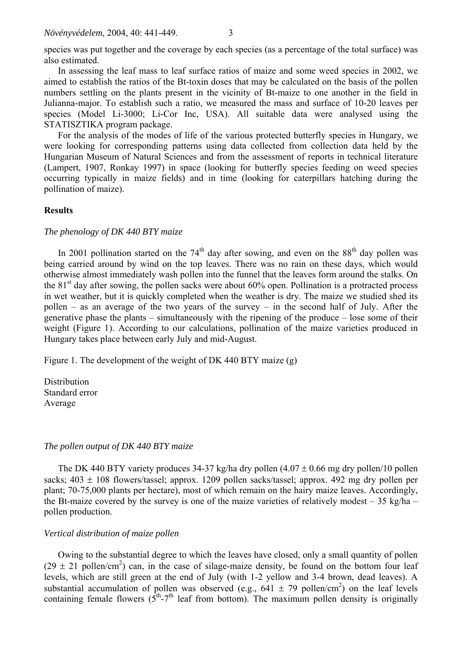species was put together and the coverage by each species (as a percentage of the total surface) was also estimated.

In assessing the leaf mass to leaf surface ratios of maize and some weed species in 2002, we aimed to establish the ratios of the Bt-toxin doses that may be calculated on the basis of the pollen numbers settling on the plants present in the vicinity of Bt-maize to one another in the field in Julianna-major. To establish such a ratio, we measured the mass and surface of 10-20 leaves per species (Model Li-3000; Li-Cor Inc, USA). All suitable data were analysed using the STATISZTIKA program package.

For the analysis of the modes of life of the various protected butterfly species in Hungary, we were looking for corresponding patterns using data collected from collection data held by the Hungarian Museum of Natural Sciences and from the assessment of reports in technical literature (Lampert, 1907, Ronkay 1997) in space (looking for butterfly species feeding on weed species occurring typically in maize fields) and in time (looking for caterpillars hatching during the pollination of maize).

### **Results**

### *The phenology of DK 440 BTY maize*

In 2001 pollination started on the  $74<sup>th</sup>$  day after sowing, and even on the  $88<sup>th</sup>$  day pollen was being carried around by wind on the top leaves. There was no rain on these days, which would otherwise almost immediately wash pollen into the funnel that the leaves form around the stalks. On the  $81<sup>st</sup>$  day after sowing, the pollen sacks were about 60% open. Pollination is a protracted process in wet weather, but it is quickly completed when the weather is dry. The maize we studied shed its pollen – as an average of the two years of the survey – in the second half of July. After the generative phase the plants – simultaneously with the ripening of the produce – lose some of their weight (Figure 1). According to our calculations, pollination of the maize varieties produced in Hungary takes place between early July and mid-August.

Figure 1. The development of the weight of DK 440 BTY maize (g)

**Distribution** Standard error Average

#### *The pollen output of DK 440 BTY maize*

The DK 440 BTY variety produces 34-37 kg/ha dry pollen  $(4.07 \pm 0.66$  mg dry pollen/10 pollen sacks;  $403 \pm 108$  flowers/tassel; approx. 1209 pollen sacks/tassel; approx. 492 mg dry pollen per plant; 70-75,000 plants per hectare), most of which remain on the hairy maize leaves. Accordingly, the Bt-maize covered by the survey is one of the maize varieties of relatively modest  $-35$  kg/ha – pollen production.

## *Vertical distribution of maize pollen*

Owing to the substantial degree to which the leaves have closed, only a small quantity of pollen  $(29 \pm 21 \text{ pollen/cm}^2)$  can, in the case of silage-maize density, be found on the bottom four leaf levels, which are still green at the end of July (with 1-2 yellow and 3-4 brown, dead leaves). A substantial accumulation of pollen was observed (e.g.,  $641 \pm 79$  pollen/cm<sup>2</sup>) on the leaf levels containing female flowers  $(5<sup>th</sup>-7<sup>th</sup>$  leaf from bottom). The maximum pollen density is originally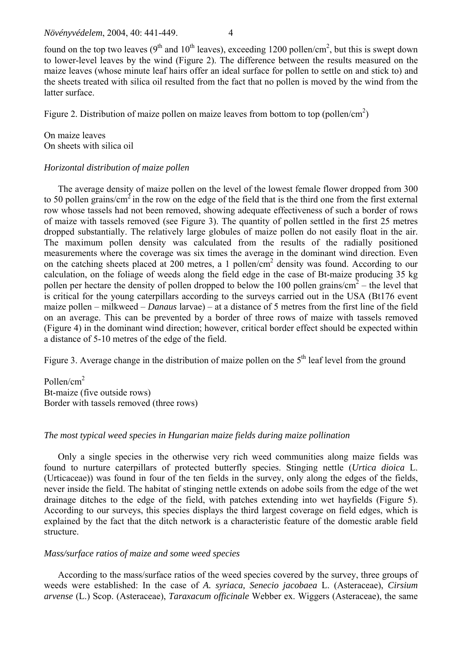found on the top two leaves ( $9<sup>th</sup>$  and  $10<sup>th</sup>$  leaves), exceeding 1200 pollen/cm<sup>2</sup>, but this is swept down to lower-level leaves by the wind (Figure 2). The difference between the results measured on the maize leaves (whose minute leaf hairs offer an ideal surface for pollen to settle on and stick to) and the sheets treated with silica oil resulted from the fact that no pollen is moved by the wind from the latter surface.

Figure 2. Distribution of maize pollen on maize leaves from bottom to top (pollen/cm<sup>2</sup>)

On maize leaves On sheets with silica oil

## *Horizontal distribution of maize pollen*

The average density of maize pollen on the level of the lowest female flower dropped from 300 to 50 pollen grains/cm<sup>2</sup> in the row on the edge of the field that is the third one from the first external row whose tassels had not been removed, showing adequate effectiveness of such a border of rows of maize with tassels removed (see Figure 3). The quantity of pollen settled in the first 25 metres dropped substantially. The relatively large globules of maize pollen do not easily float in the air. The maximum pollen density was calculated from the results of the radially positioned measurements where the coverage was six times the average in the dominant wind direction. Even on the catching sheets placed at 200 metres, a 1 pollen/ $cm<sup>2</sup>$  density was found. According to our calculation, on the foliage of weeds along the field edge in the case of Bt-maize producing 35 kg pollen per hectare the density of pollen dropped to below the 100 pollen grains/ $\text{cm}^2$  – the level that is critical for the young caterpillars according to the surveys carried out in the USA (Bt176 event maize pollen – milkweed – *Danaus* larvae) – at a distance of 5 metres from the first line of the field on an average. This can be prevented by a border of three rows of maize with tassels removed (Figure 4) in the dominant wind direction; however, critical border effect should be expected within a distance of 5-10 metres of the edge of the field.

Figure 3. Average change in the distribution of maize pollen on the  $5<sup>th</sup>$  leaf level from the ground

Pollen/cm<sup>2</sup> Bt-maize (five outside rows) Border with tassels removed (three rows)

## *The most typical weed species in Hungarian maize fields during maize pollination*

Only a single species in the otherwise very rich weed communities along maize fields was found to nurture caterpillars of protected butterfly species. Stinging nettle (*Urtica dioica* L. (Urticaceae)) was found in four of the ten fields in the survey, only along the edges of the fields, never inside the field. The habitat of stinging nettle extends on adobe soils from the edge of the wet drainage ditches to the edge of the field, with patches extending into wet hayfields (Figure 5). According to our surveys, this species displays the third largest coverage on field edges, which is explained by the fact that the ditch network is a characteristic feature of the domestic arable field structure.

## *Mass/surface ratios of maize and some weed species*

According to the mass/surface ratios of the weed species covered by the survey, three groups of weeds were established: In the case of *A. syriaca, Senecio jacobaea* L. (Asteraceae), *Cirsium arvense* (L.) Scop. (Asteraceae), *Taraxacum officinale* Webber ex. Wiggers (Asteraceae), the same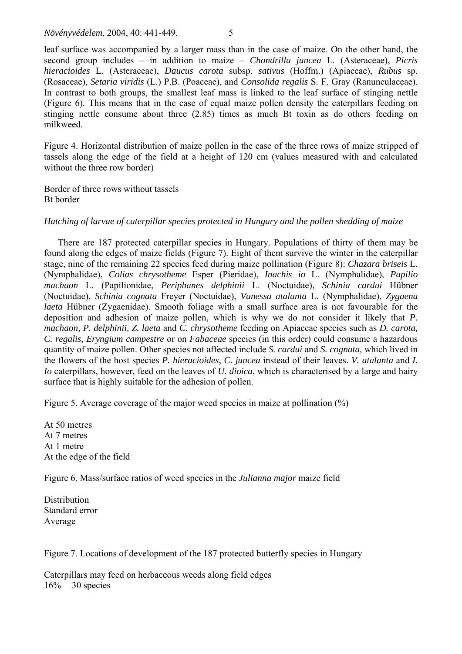leaf surface was accompanied by a larger mass than in the case of maize. On the other hand, the second group includes – in addition to maize – *Chondrilla juncea* L. (Asteraceae), *Picris hieracioides* L. (Asteraceae), *Daucus carota* subsp. *sativus* (Hoffm.) (Apiaceae), *Rubus* sp. (Rosaceae), *Setaria viridis* (L.) P.B. (Poaceae), and *Consolida regalis* S. F. Gray (Ranunculaceae). In contrast to both groups, the smallest leaf mass is linked to the leaf surface of stinging nettle (Figure 6). This means that in the case of equal maize pollen density the caterpillars feeding on stinging nettle consume about three (2.85) times as much Bt toxin as do others feeding on milkweed.

Figure 4. Horizontal distribution of maize pollen in the case of the three rows of maize stripped of tassels along the edge of the field at a height of 120 cm (values measured with and calculated without the three row border)

Border of three rows without tassels Bt border

# *Hatching of larvae of caterpillar species protected in Hungary and the pollen shedding of maize*

There are 187 protected caterpillar species in Hungary. Populations of thirty of them may be found along the edges of maize fields (Figure 7). Eight of them survive the winter in the caterpillar stage, nine of the remaining 22 species feed during maize pollination (Figure 8): *Chazara briseis* L. (Nymphalidae), *Colias chrysotheme* Esper (Pieridae), *Inachis io* L. (Nymphalidae), *Papilio machaon* L. (Papilionidae, *Periphanes delphinii* L. (Noctuidae), *Schinia cardui* Hübner (Noctuidae), *Schinia cognata* Freyer (Noctuidae), *Vanessa atalanta* L. (Nymphalidae), *Zygaena laeta* Hübner (Zygaenidae). Smooth foliage with a small surface area is not favourable for the deposition and adhesion of maize pollen, which is why we do not consider it likely that *P. machaon, P. delphinii, Z. laeta* and *C. chrysotheme* feeding on Apiaceae species such as *D. carota, C. regalis, Eryngium campestre* or on *Fabaceae* species (in this order) could consume a hazardous quantity of maize pollen. Other species not affected include *S. cardui* and *S. cognata*, which lived in the flowers of the host species *P. hieracioides, C. juncea* instead of their leaves. *V. atalanta* and *I. Io* caterpillars, however, feed on the leaves of *U. dioica*, which is characterised by a large and hairy surface that is highly suitable for the adhesion of pollen.

Figure 5. Average coverage of the major weed species in maize at pollination (%)

At 50 metres At 7 metres At 1 metre At the edge of the field

Figure 6. Mass/surface ratios of weed species in the *Julianna major* maize field

**Distribution** Standard error Average

Figure 7. Locations of development of the 187 protected butterfly species in Hungary

Caterpillars may feed on herbaceous weeds along field edges 16% 30 species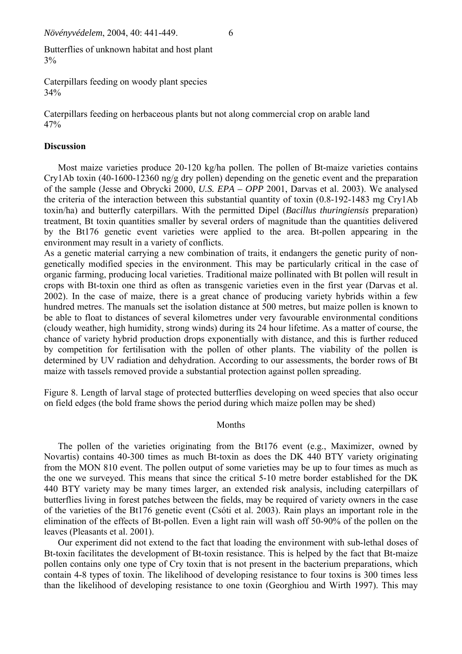Butterflies of unknown habitat and host plant 3%

Caterpillars feeding on woody plant species 34%

Caterpillars feeding on herbaceous plants but not along commercial crop on arable land 47%

## **Discussion**

Most maize varieties produce 20-120 kg/ha pollen. The pollen of Bt-maize varieties contains Cry1Ab toxin (40-1600-12360 ng/g dry pollen) depending on the genetic event and the preparation of the sample (Jesse and Obrycki 2000, *U.S. EPA – OPP* 2001, Darvas et al. 2003). We analysed the criteria of the interaction between this substantial quantity of toxin (0.8-192-1483 mg Cry1Ab toxin/ha) and butterfly caterpillars. With the permitted Dipel (*Bacillus thuringiensis* preparation) treatment, Bt toxin quantities smaller by several orders of magnitude than the quantities delivered by the Bt176 genetic event varieties were applied to the area. Bt-pollen appearing in the environment may result in a variety of conflicts.

As a genetic material carrying a new combination of traits, it endangers the genetic purity of nongenetically modified species in the environment. This may be particularly critical in the case of organic farming, producing local varieties. Traditional maize pollinated with Bt pollen will result in crops with Bt-toxin one third as often as transgenic varieties even in the first year (Darvas et al. 2002). In the case of maize, there is a great chance of producing variety hybrids within a few hundred metres. The manuals set the isolation distance at 500 metres, but maize pollen is known to be able to float to distances of several kilometres under very favourable environmental conditions (cloudy weather, high humidity, strong winds) during its 24 hour lifetime. As a matter of course, the chance of variety hybrid production drops exponentially with distance, and this is further reduced by competition for fertilisation with the pollen of other plants. The viability of the pollen is determined by UV radiation and dehydration. According to our assessments, the border rows of Bt maize with tassels removed provide a substantial protection against pollen spreading.

Figure 8. Length of larval stage of protected butterflies developing on weed species that also occur on field edges (the bold frame shows the period during which maize pollen may be shed)

## Months

The pollen of the varieties originating from the Bt176 event (e.g., Maximizer, owned by Novartis) contains 40-300 times as much Bt-toxin as does the DK 440 BTY variety originating from the MON 810 event. The pollen output of some varieties may be up to four times as much as the one we surveyed. This means that since the critical 5-10 metre border established for the DK 440 BTY variety may be many times larger, an extended risk analysis, including caterpillars of butterflies living in forest patches between the fields, may be required of variety owners in the case of the varieties of the Bt176 genetic event (Csóti et al. 2003). Rain plays an important role in the elimination of the effects of Bt-pollen. Even a light rain will wash off 50-90% of the pollen on the leaves (Pleasants et al. 2001).

Our experiment did not extend to the fact that loading the environment with sub-lethal doses of Bt-toxin facilitates the development of Bt-toxin resistance. This is helped by the fact that Bt-maize pollen contains only one type of Cry toxin that is not present in the bacterium preparations, which contain 4-8 types of toxin. The likelihood of developing resistance to four toxins is 300 times less than the likelihood of developing resistance to one toxin (Georghiou and Wirth 1997). This may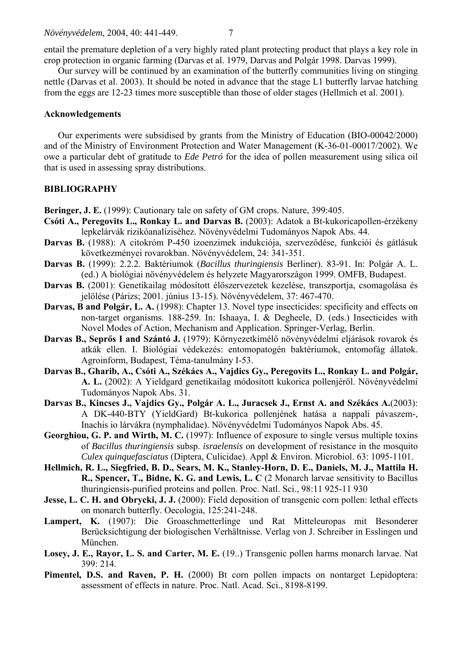entail the premature depletion of a very highly rated plant protecting product that plays a key role in crop protection in organic farming (Darvas et al. 1979, Darvas and Polgár 1998. Darvas 1999).

Our survey will be continued by an examination of the butterfly communities living on stinging nettle (Darvas et al. 2003). It should be noted in advance that the stage L1 butterfly larvae hatching from the eggs are 12-23 times more susceptible than those of older stages (Hellmich et al. 2001).

### **Acknowledgements**

Our experiments were subsidised by grants from the Ministry of Education (BIO-00042/2000) and of the Ministry of Environment Protection and Water Management (K-36-01-00017/2002). We owe a particular debt of gratitude to *Ede Petró* for the idea of pollen measurement using silica oil that is used in assessing spray distributions.

# **BIBLIOGRAPHY**

**Beringer, J. E.** (1999): Cautionary tale on safety of GM crops. Nature, 399:405.

- **Csóti A., Peregovits L., Ronkay L. and Darvas B.** (2003): Adatok a Bt-kukoricapollen-érzékeny lepkelárvák rizikóanalíziséhez. Növényvédelmi Tudományos Napok Abs. 44.
- **Darvas B.** (1988): A citokróm P-450 izoenzimek indukciója, szerveződése, funkciói és gátlásuk következményei rovarokban. Növényvédelem, 24: 341-351.
- **Darvas B.** (1999): 2.2.2. Baktériumok (*Bacillus thuringiensis* Berliner). 83-91. In: Polgár A. L. (ed.) A biológiai növényvédelem és helyzete Magyarországon 1999. OMFB, Budapest.
- **Darvas B.** (2001): Genetikailag módosított élőszervezetek kezelése, transzportja, csomagolása és jelölése (Párizs; 2001. június 13-15). Növényvédelem, 37: 467-470.
- **Darvas, B and Polgár, L. A.** (1998): Chapter 13. Novel type insecticides: specificity and effects on non-target organisms. 188-259. In: Ishaaya, I. & Degheele, D. (eds.) Insecticides with Novel Modes of Action, Mechanism and Application. Springer-Verlag, Berlin.
- **Darvas B., Seprős I and Szántó J.** (1979): Környezetkímélő növényvédelmi eljárások rovarok és atkák ellen. I. Biológiai védekezés: entomopatogén baktériumok, entomofág állatok. Agroinform, Budapest, Téma-tanulmány I-53.
- **Darvas B., Gharib, A., Csóti A., Székács A., Vajdics Gy., Peregovits L., Ronkay L. and Polgár, A. L.** (2002): A Yieldgard genetikailag módosított kukorica pollenjéről. Növényvédelmi Tudományos Napok Abs. 31.
- **Darvas B., Kincses J., Vajdics Gy., Polgár A. L., Juracsek J., Ernst A. and Székács A.**(2003): A DK-440-BTY (YieldGard) Bt-kukorica pollenjének hatása a nappali pávaszem-, Inachis io lárvákra (nymphalidae). Növényvédelmi Tudományos Napok Abs. 45.
- Georghiou, G. P. and Wirth, M. C. (1997): Influence of exposure to single versus multiple toxins of *Bacillus thuringiensis* subsp. *israelensis* on development of resistance in the mosquito *Culex quinquefasciatus* (Diptera, Culicidae). Appl & Environ. Microbiol. 63: 1095-1101.
- **Hellmich, R. L., Siegfried, B. D., Sears, M. K., Stanley-Horn, D. E., Daniels, M. J., Mattila H. R., Spencer, T., Bidne, K. G. and Lewis, L. C** (2 Monarch larvae sensitivity to Bacillus thuringiensis-purified proteins and pollen. Proc. Natl. Sci., 98:11 925-11 930
- **Jesse, L. C. H. and Obrycki, J. J.** (2000): Field deposition of transgenic corn pollen: lethal effects on monarch butterfly. Oecologia, 125:241-248.
- **Lampert, K.** (1907): Die Groaschmetterlinge und Rat Mitteleuropas mit Besonderer Berücksichtigung der biologischen Verhältnisse. Verlag von J. Schreiber in Esslingen und München.
- Losey, J. E., Rayor, L. S. and Carter, M. E. (19..) Transgenic pollen harms monarch larvae. Nat 399: 214.
- **Pimentel, D.S. and Raven, P. H.** (2000) Bt corn pollen impacts on nontarget Lepidoptera: assessment of effects in nature. Proc. Natl. Acad. Sci., 8198-8199.